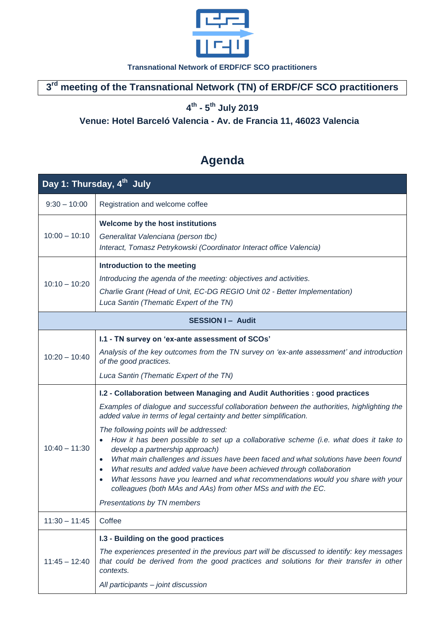

**Transnational Network of ERDF/CF SCO practitioners**

**3 rd meeting of the Transnational Network (TN) of ERDF/CF SCO practitioners**

**4 th - 5 th July 2019**

## **Venue: Hotel Barceló Valencia - Av. de Francia 11, 46023 Valencia**

## **Agenda**

| Day 1: Thursday, 4 <sup>th</sup> July |                                                                                                                                                                                                                                                                                                                                                                                                                                                                                                                                                                                                                                                                                                                                                                                                     |  |
|---------------------------------------|-----------------------------------------------------------------------------------------------------------------------------------------------------------------------------------------------------------------------------------------------------------------------------------------------------------------------------------------------------------------------------------------------------------------------------------------------------------------------------------------------------------------------------------------------------------------------------------------------------------------------------------------------------------------------------------------------------------------------------------------------------------------------------------------------------|--|
| $9:30 - 10:00$                        | Registration and welcome coffee                                                                                                                                                                                                                                                                                                                                                                                                                                                                                                                                                                                                                                                                                                                                                                     |  |
| $10:00 - 10:10$                       | Welcome by the host institutions<br>Generalitat Valenciana (person tbc)<br>Interact, Tomasz Petrykowski (Coordinator Interact office Valencia)                                                                                                                                                                                                                                                                                                                                                                                                                                                                                                                                                                                                                                                      |  |
| $10:10 - 10:20$                       | Introduction to the meeting<br>Introducing the agenda of the meeting: objectives and activities.<br>Charlie Grant (Head of Unit, EC-DG REGIO Unit 02 - Better Implementation)<br>Luca Santin (Thematic Expert of the TN)                                                                                                                                                                                                                                                                                                                                                                                                                                                                                                                                                                            |  |
| <b>SESSION I- Audit</b>               |                                                                                                                                                                                                                                                                                                                                                                                                                                                                                                                                                                                                                                                                                                                                                                                                     |  |
| $10:20 - 10:40$                       | I.1 - TN survey on 'ex-ante assessment of SCOs'<br>Analysis of the key outcomes from the TN survey on 'ex-ante assessment' and introduction<br>of the good practices.<br>Luca Santin (Thematic Expert of the TN)                                                                                                                                                                                                                                                                                                                                                                                                                                                                                                                                                                                    |  |
| $10:40 - 11:30$                       | I.2 - Collaboration between Managing and Audit Authorities : good practices<br>Examples of dialogue and successful collaboration between the authorities, highlighting the<br>added value in terms of legal certainty and better simplification.<br>The following points will be addressed:<br>How it has been possible to set up a collaborative scheme (i.e. what does it take to<br>develop a partnership approach)<br>What main challenges and issues have been faced and what solutions have been found<br>What results and added value have been achieved through collaboration<br>$\bullet$<br>What lessons have you learned and what recommendations would you share with your<br>$\bullet$<br>colleagues (both MAs and AAs) from other MSs and with the EC.<br>Presentations by TN members |  |
| $11:30 - 11:45$                       | Coffee                                                                                                                                                                                                                                                                                                                                                                                                                                                                                                                                                                                                                                                                                                                                                                                              |  |
| $11:45 - 12:40$                       | I.3 - Building on the good practices<br>The experiences presented in the previous part will be discussed to identify: key messages<br>that could be derived from the good practices and solutions for their transfer in other<br>contexts.<br>All participants - joint discussion                                                                                                                                                                                                                                                                                                                                                                                                                                                                                                                   |  |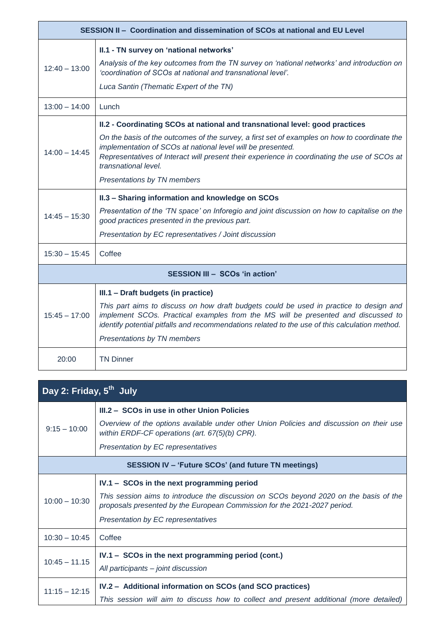| SESSION II - Coordination and dissemination of SCOs at national and EU Level |                                                                                                                                                                                                                                                                               |  |
|------------------------------------------------------------------------------|-------------------------------------------------------------------------------------------------------------------------------------------------------------------------------------------------------------------------------------------------------------------------------|--|
|                                                                              | II.1 - TN survey on 'national networks'                                                                                                                                                                                                                                       |  |
| $12:40 - 13:00$                                                              | Analysis of the key outcomes from the TN survey on 'national networks' and introduction on<br>'coordination of SCOs at national and transnational level'.                                                                                                                     |  |
|                                                                              | Luca Santin (Thematic Expert of the TN)                                                                                                                                                                                                                                       |  |
| $13:00 - 14:00$                                                              | Lunch                                                                                                                                                                                                                                                                         |  |
| $14:00 - 14:45$                                                              | II.2 - Coordinating SCOs at national and transnational level: good practices                                                                                                                                                                                                  |  |
|                                                                              | On the basis of the outcomes of the survey, a first set of examples on how to coordinate the<br>implementation of SCOs at national level will be presented.<br>Representatives of Interact will present their experience in coordinating the use of SCOs at                   |  |
|                                                                              | transnational level.                                                                                                                                                                                                                                                          |  |
|                                                                              | Presentations by TN members                                                                                                                                                                                                                                                   |  |
|                                                                              | II.3 - Sharing information and knowledge on SCOs                                                                                                                                                                                                                              |  |
| $14:45 - 15:30$                                                              | Presentation of the 'TN space' on Inforegio and joint discussion on how to capitalise on the<br>good practices presented in the previous part.                                                                                                                                |  |
|                                                                              | Presentation by EC representatives / Joint discussion                                                                                                                                                                                                                         |  |
| $15:30 - 15:45$                                                              | Coffee                                                                                                                                                                                                                                                                        |  |
| SESSION III - SCOs 'in action'                                               |                                                                                                                                                                                                                                                                               |  |
| $15:45 - 17:00$                                                              | III.1 - Draft budgets (in practice)                                                                                                                                                                                                                                           |  |
|                                                                              | This part aims to discuss on how draft budgets could be used in practice to design and<br>implement SCOs. Practical examples from the MS will be presented and discussed to<br>identify potential pitfalls and recommendations related to the use of this calculation method. |  |
|                                                                              | Presentations by TN members                                                                                                                                                                                                                                                   |  |
| 20:00                                                                        | <b>TN Dinner</b>                                                                                                                                                                                                                                                              |  |

| Day 2: Friday, 5 <sup>th</sup> July                        |                                                                                                                                                                   |  |
|------------------------------------------------------------|-------------------------------------------------------------------------------------------------------------------------------------------------------------------|--|
| $9:15 - 10:00$                                             | III.2 - SCOs in use in other Union Policies                                                                                                                       |  |
|                                                            | Overview of the options available under other Union Policies and discussion on their use<br>within ERDF-CF operations (art. 67(5)(b) CPR).                        |  |
|                                                            | Presentation by EC representatives                                                                                                                                |  |
| <b>SESSION IV - 'Future SCOs' (and future TN meetings)</b> |                                                                                                                                                                   |  |
| $10:00 - 10:30$                                            | IV.1 - SCOs in the next programming period                                                                                                                        |  |
|                                                            | This session aims to introduce the discussion on SCOs beyond 2020 on the basis of the<br>proposals presented by the European Commission for the 2021-2027 period. |  |
|                                                            | Presentation by EC representatives                                                                                                                                |  |
| $10:30 - 10:45$                                            | Coffee                                                                                                                                                            |  |
| $10:45 - 11.15$                                            | IV.1 – SCOs in the next programming period (cont.)                                                                                                                |  |
|                                                            | All participants - joint discussion                                                                                                                               |  |
| $11:15 - 12:15$                                            | IV.2 - Additional information on SCOs (and SCO practices)                                                                                                         |  |
|                                                            | This session will aim to discuss how to collect and present additional (more detailed)                                                                            |  |